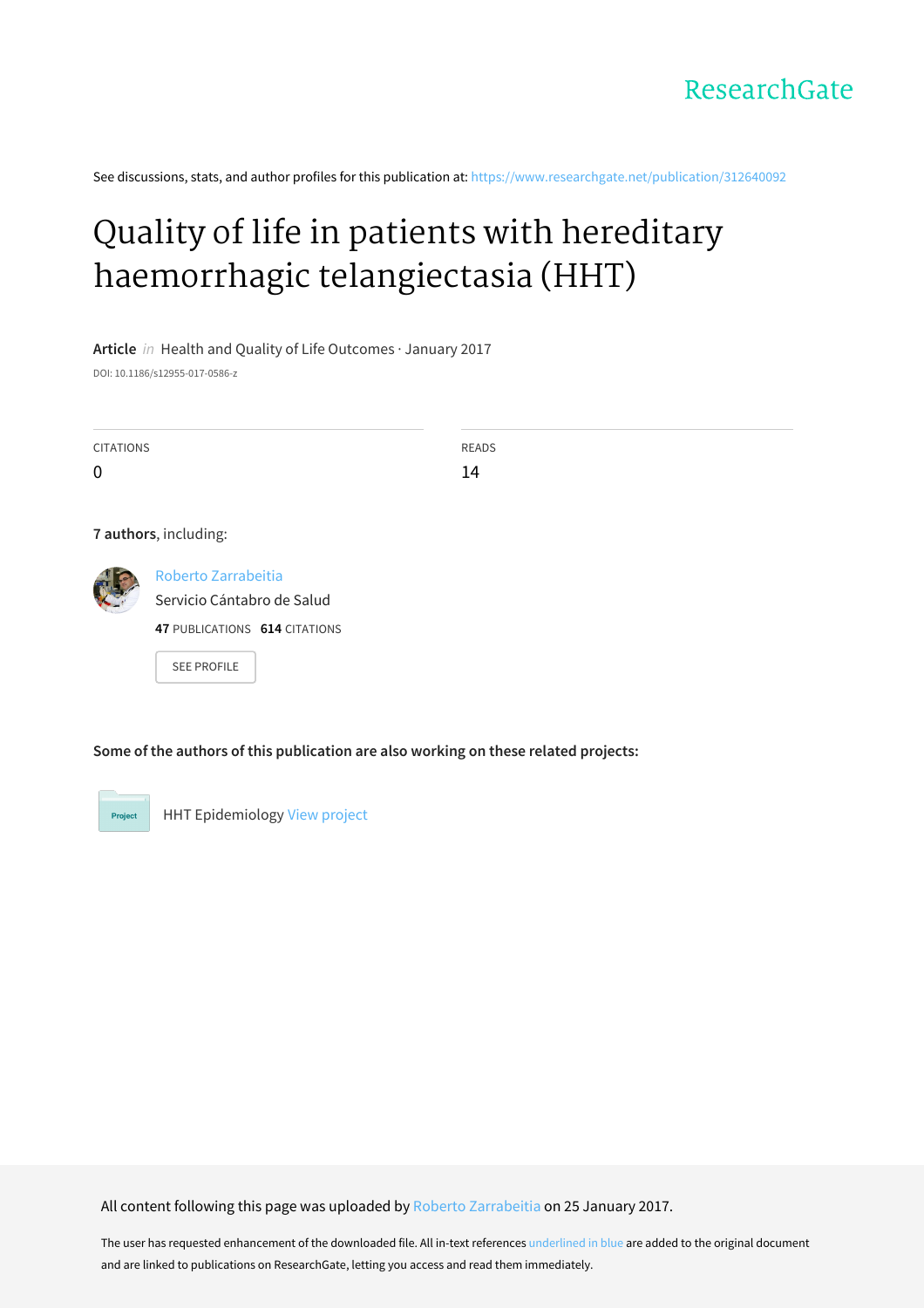See discussions, stats, and author profiles for this publication at: [https://www.researchgate.net/publication/312640092](https://www.researchgate.net/publication/312640092_Quality_of_life_in_patients_with_hereditary_haemorrhagic_telangiectasia_HHT?enrichId=rgreq-642a8692dabae5003dfe4d2c815365ea-XXX&enrichSource=Y292ZXJQYWdlOzMxMjY0MDA5MjtBUzo0NTQzODc3MTA1OTkxNjhAMTQ4NTM0NTg4MDc1NA%3D%3D&el=1_x_2&_esc=publicationCoverPdf)

# Quality of life in patients with hereditary [haemorrhagic](https://www.researchgate.net/publication/312640092_Quality_of_life_in_patients_with_hereditary_haemorrhagic_telangiectasia_HHT?enrichId=rgreq-642a8692dabae5003dfe4d2c815365ea-XXX&enrichSource=Y292ZXJQYWdlOzMxMjY0MDA5MjtBUzo0NTQzODc3MTA1OTkxNjhAMTQ4NTM0NTg4MDc1NA%3D%3D&el=1_x_3&_esc=publicationCoverPdf) telangiectasia (HHT)

**Article** in Health and Quality of Life Outcomes · January 2017

DOI: 10.1186/s12955-017-0586-z

| <b>CITATIONS</b> |                                                                                    | <b>READS</b> |  |
|------------------|------------------------------------------------------------------------------------|--------------|--|
| 0                |                                                                                    | 14           |  |
|                  | 7 authors, including:                                                              |              |  |
|                  | Roberto Zarrabeitia<br>Servicio Cántabro de Salud<br>47 PUBLICATIONS 614 CITATIONS |              |  |
|                  | <b>SEE PROFILE</b>                                                                 |              |  |

**Some of the authors of this publication are also working on these related projects:**



HHT Epidemiology View [project](https://www.researchgate.net/project/HHT-Epidemiology?enrichId=rgreq-642a8692dabae5003dfe4d2c815365ea-XXX&enrichSource=Y292ZXJQYWdlOzMxMjY0MDA5MjtBUzo0NTQzODc3MTA1OTkxNjhAMTQ4NTM0NTg4MDc1NA%3D%3D&el=1_x_9&_esc=publicationCoverPdf)

All content following this page was uploaded by Roberto [Zarrabeitia](https://www.researchgate.net/profile/Roberto_Zarrabeitia?enrichId=rgreq-642a8692dabae5003dfe4d2c815365ea-XXX&enrichSource=Y292ZXJQYWdlOzMxMjY0MDA5MjtBUzo0NTQzODc3MTA1OTkxNjhAMTQ4NTM0NTg4MDc1NA%3D%3D&el=1_x_10&_esc=publicationCoverPdf) on 25 January 2017.

The user has requested enhancement of the downloaded file. All in-text references underlined in blue are added to the original document and are linked to publications on ResearchGate, letting you access and read them immediately.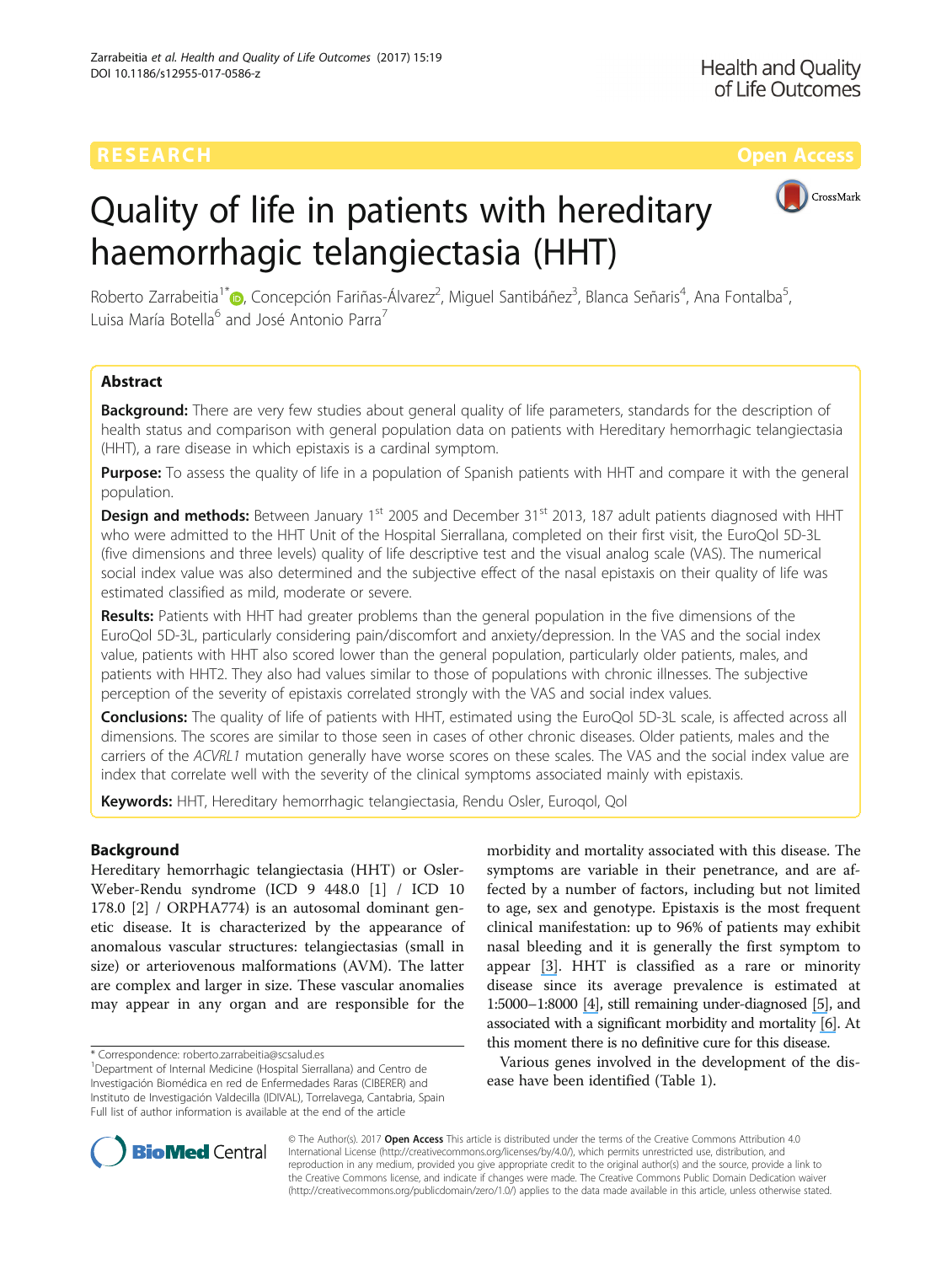# CrossMark

# Quality of life in patients with hereditary haemorrhagic telangiectasia (HHT)

Roberto Zarrabeitia<sup>1\*</sup>®[,](http://orcid.org/0000-0002-2904-3982) Concepción Fariñas-Álvarez<sup>2</sup>, Miguel Santibáñez<sup>3</sup>, Blanca Señaris<sup>4</sup>, Ana Fontalba<sup>5</sup> , Luisa María Botella<sup>6</sup> and José Antonio Parra<sup>7</sup>

# Abstract

Background: There are very few studies about general quality of life parameters, standards for the description of health status and comparison with general population data on patients with Hereditary hemorrhagic telangiectasia (HHT), a rare disease in which epistaxis is a cardinal symptom.

Purpose: To assess the quality of life in a population of Spanish patients with HHT and compare it with the general population.

**Design and methods:** Between January 1<sup>st</sup> 2005 and December 31<sup>st</sup> 2013, 187 adult patients diagnosed with HHT who were admitted to the HHT Unit of the Hospital Sierrallana, completed on their first visit, the EuroQol 5D-3L (five dimensions and three levels) quality of life descriptive test and the visual analog scale (VAS). The numerical social index value was also determined and the subjective effect of the nasal epistaxis on their quality of life was estimated classified as mild, moderate or severe.

Results: Patients with HHT had greater problems than the general population in the five dimensions of the EuroQol 5D-3L, particularly considering pain/discomfort and anxiety/depression. In the VAS and the social index value, patients with HHT also scored lower than the general population, particularly older patients, males, and patients with HHT2. They also had values similar to those of populations with chronic illnesses. The subjective perception of the severity of epistaxis correlated strongly with the VAS and social index values.

Conclusions: The quality of life of patients with HHT, estimated using the EuroQol 5D-3L scale, is affected across all dimensions. The scores are similar to those seen in cases of other chronic diseases. Older patients, males and the carriers of the ACVRL1 mutation generally have worse scores on these scales. The VAS and the social index value are index that correlate well with the severity of the clinical symptoms associated mainly with epistaxis.

Keywords: HHT, Hereditary hemorrhagic telangiectasia, Rendu Osler, Euroqol, Qol

# Background

Hereditary hemorrhagic telangiectasia (HHT) or Osler-Weber-Rendu syndrome (ICD 9 448.0 [\[1\]](#page-9-0) / ICD 10 178.0 [\[2](#page-9-0)] / ORPHA774) is an autosomal dominant genetic disease. It is characterized by the appearance of anomalous vascular structures: telangiectasias (small in size) or arteriovenous malformations (AVM). The latter are complex and larger in size. These vascular anomalies may appear in any organ and are responsible for the

morbidity and mortality associated with this disease. The symptoms are variable in their penetrance, and are affected by a number of factors, including but not limited to age, sex and genotype. Epistaxis is the most frequent clinical manifestation: up to 96% of patients may exhibit nasal bleeding and it is generally the first symptom to appear [\[](https://www.researchgate.net/publication/21270433_The_Natural_History_of_Epistaxis_in_Hereditary_Hemorrhagic_Telangiectasia?el=1_x_8&enrichId=rgreq-642a8692dabae5003dfe4d2c815365ea-XXX&enrichSource=Y292ZXJQYWdlOzMxMjY0MDA5MjtBUzo0NTQzODc3MTA1OTkxNjhAMTQ4NTM0NTg4MDc1NA==)[3](#page-9-0)[\]](https://www.researchgate.net/publication/21270433_The_Natural_History_of_Epistaxis_in_Hereditary_Hemorrhagic_Telangiectasia?el=1_x_8&enrichId=rgreq-642a8692dabae5003dfe4d2c815365ea-XXX&enrichSource=Y292ZXJQYWdlOzMxMjY0MDA5MjtBUzo0NTQzODc3MTA1OTkxNjhAMTQ4NTM0NTg4MDc1NA==). HHT is classified as a rare or minority disease since its average prevalence is estimated at 1:5000–1:8000 [\[4\]](https://www.researchgate.net/publication/24249080_Hereditary_haemorrhagic_telangiectasia_A_clinical_and_scientific_review?el=1_x_8&enrichId=rgreq-642a8692dabae5003dfe4d2c815365ea-XXX&enrichSource=Y292ZXJQYWdlOzMxMjY0MDA5MjtBUzo0NTQzODc3MTA1OTkxNjhAMTQ4NTM0NTg4MDc1NA==), still remaining under-diagnosed [\[](https://www.researchgate.net/publication/264248000_Targeting_under-diagnosis_in_hereditary_hemorrhagic_telangiectasia_A_model_approach_for_rare_diseases?el=1_x_8&enrichId=rgreq-642a8692dabae5003dfe4d2c815365ea-XXX&enrichSource=Y292ZXJQYWdlOzMxMjY0MDA5MjtBUzo0NTQzODc3MTA1OTkxNjhAMTQ4NTM0NTg4MDc1NA==)[5](#page-9-0)[\]](https://www.researchgate.net/publication/264248000_Targeting_under-diagnosis_in_hereditary_hemorrhagic_telangiectasia_A_model_approach_for_rare_diseases?el=1_x_8&enrichId=rgreq-642a8692dabae5003dfe4d2c815365ea-XXX&enrichSource=Y292ZXJQYWdlOzMxMjY0MDA5MjtBUzo0NTQzODc3MTA1OTkxNjhAMTQ4NTM0NTg4MDc1NA==), and associated with a significant morbidity and mortality [\[](https://www.researchgate.net/publication/13195002_Hereditary_haemorrhagic_telangiectasia_A_population-based_study_of_prevalence_and_mortality_in_Danish_patients?el=1_x_8&enrichId=rgreq-642a8692dabae5003dfe4d2c815365ea-XXX&enrichSource=Y292ZXJQYWdlOzMxMjY0MDA5MjtBUzo0NTQzODc3MTA1OTkxNjhAMTQ4NTM0NTg4MDc1NA==)[6](#page-9-0)[\]](https://www.researchgate.net/publication/13195002_Hereditary_haemorrhagic_telangiectasia_A_population-based_study_of_prevalence_and_mortality_in_Danish_patients?el=1_x_8&enrichId=rgreq-642a8692dabae5003dfe4d2c815365ea-XXX&enrichSource=Y292ZXJQYWdlOzMxMjY0MDA5MjtBUzo0NTQzODc3MTA1OTkxNjhAMTQ4NTM0NTg4MDc1NA==). At this moment there is no definitive cure for this disease.

Various genes involved in the development of the disease have been identified (Table [1\)](#page-2-0).



© The Author(s). 2017 **Open Access** This article is distributed under the terms of the Creative Commons Attribution 4.0 International License [\(http://creativecommons.org/licenses/by/4.0/](http://creativecommons.org/licenses/by/4.0/)), which permits unrestricted use, distribution, and reproduction in any medium, provided you give appropriate credit to the original author(s) and the source, provide a link to the Creative Commons license, and indicate if changes were made. The Creative Commons Public Domain Dedication waiver [\(http://creativecommons.org/publicdomain/zero/1.0/](http://creativecommons.org/publicdomain/zero/1.0/)) applies to the data made available in this article, unless otherwise stated.

<sup>\*</sup> Correspondence: [roberto.zarrabeitia@scsalud.es](mailto:roberto.zarrabeitia@scsalud.es) <sup>1</sup>

<sup>&</sup>lt;sup>1</sup>Department of Internal Medicine (Hospital Sierrallana) and Centro de Investigación Biomédica en red de Enfermedades Raras (CIBERER) and Instituto de Investigación Valdecilla (IDIVAL), Torrelavega, Cantabria, Spain Full list of author information is available at the end of the article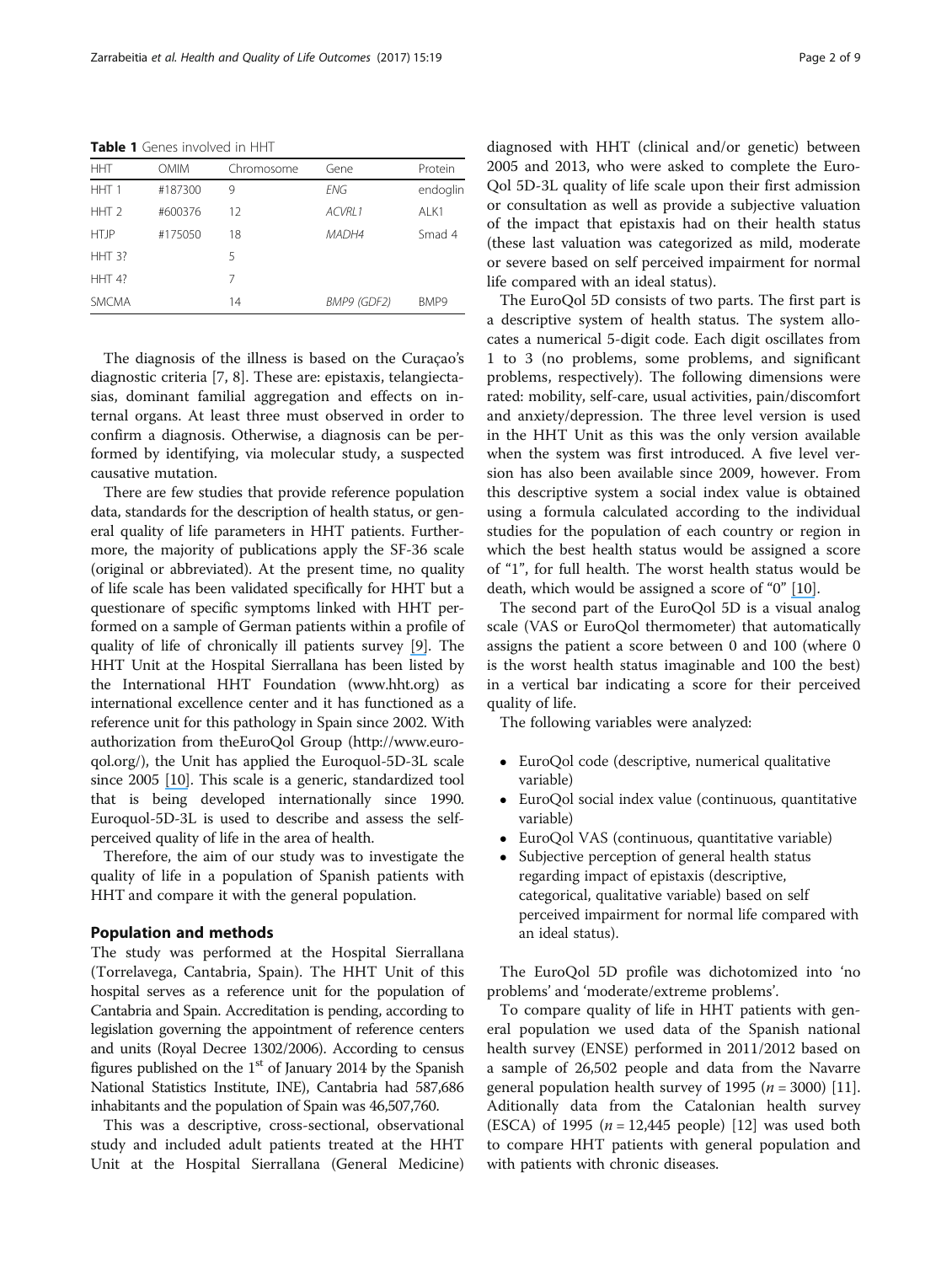<span id="page-2-0"></span>Table 1 Genes involved in HHT

| <b>HHT</b>       | <b>OMIM</b> | Chromosome | Gene               | Protein  |
|------------------|-------------|------------|--------------------|----------|
| HHT <sub>1</sub> | #187300     | 9          | <b>FNG</b>         | endoglin |
| HHT <sub>2</sub> | #600376     | 12         | ACVRI <sub>1</sub> | ALK1     |
| <b>HTJP</b>      | #175050     | 18         | MADH4              | Smad 4   |
| $HHT$ 3?         |             | 5          |                    |          |
| $HHT$ 4?         |             | 7          |                    |          |
| <b>SMCMA</b>     |             | 14         | BMP9 (GDF2)        | BMP9     |

The diagnosis of the illness is based on the Curaçao's diagnostic criteria [[7, 8\]](#page-9-0). These are: epistaxis, telangiectasias, dominant familial aggregation and effects on internal organs. At least three must observed in order to confirm a diagnosis. Otherwise, a diagnosis can be performed by identifying, via molecular study, a suspected causative mutation.

There are few studies that provide reference population data, standards for the description of health status, or general quality of life parameters in HHT patients. Furthermore, the majority of publications apply the SF-36 scale (original or abbreviated). At the present time, no quality of life scale has been validated specifically for HHT but a questionare of specific symptoms linked with HHT performed on a sample of German patients within a profile of quality of life of chronically ill patients survey [\[](https://www.researchgate.net/publication/7239211_Recurrent_nosebleeds_in_patients_with_hereditary_hemorrhagic_telangiectasia?el=1_x_8&enrichId=rgreq-642a8692dabae5003dfe4d2c815365ea-XXX&enrichSource=Y292ZXJQYWdlOzMxMjY0MDA5MjtBUzo0NTQzODc3MTA1OTkxNjhAMTQ4NTM0NTg4MDc1NA==)[9](#page-9-0)[\]](https://www.researchgate.net/publication/7239211_Recurrent_nosebleeds_in_patients_with_hereditary_hemorrhagic_telangiectasia?el=1_x_8&enrichId=rgreq-642a8692dabae5003dfe4d2c815365ea-XXX&enrichSource=Y292ZXJQYWdlOzMxMjY0MDA5MjtBUzo0NTQzODc3MTA1OTkxNjhAMTQ4NTM0NTg4MDc1NA==). The HHT Unit at the Hospital Sierrallana has been listed by the International HHT Foundation ([www.hht.org\)](http://www.hht.org/) as international excellence center and it has functioned as a reference unit for this pathology in Spain since 2002. With authorization from theEuroQol Group [\(http://www.euro](http://www.euroqol.org/)[qol.org/](http://www.euroqol.org/)), the Unit has applied the Euroquol-5D-3L scale since 2005 [\[](https://www.researchgate.net/publication/285361412_La_version_espanola_del_EuroQol_Descripcion_y_aplicaciones_European_Quality_of_Life_scale?el=1_x_8&enrichId=rgreq-642a8692dabae5003dfe4d2c815365ea-XXX&enrichSource=Y292ZXJQYWdlOzMxMjY0MDA5MjtBUzo0NTQzODc3MTA1OTkxNjhAMTQ4NTM0NTg4MDc1NA==)[10](#page-9-0)[\]](https://www.researchgate.net/publication/285361412_La_version_espanola_del_EuroQol_Descripcion_y_aplicaciones_European_Quality_of_Life_scale?el=1_x_8&enrichId=rgreq-642a8692dabae5003dfe4d2c815365ea-XXX&enrichSource=Y292ZXJQYWdlOzMxMjY0MDA5MjtBUzo0NTQzODc3MTA1OTkxNjhAMTQ4NTM0NTg4MDc1NA==). This scale is a generic, standardized tool that is being developed internationally since 1990. Euroquol-5D-3L is used to describe and assess the selfperceived quality of life in the area of health.

Therefore, the aim of our study was to investigate the quality of life in a population of Spanish patients with HHT and compare it with the general population.

# Population and methods

The study was performed at the Hospital Sierrallana (Torrelavega, Cantabria, Spain). The HHT Unit of this hospital serves as a reference unit for the population of Cantabria and Spain. Accreditation is pending, according to legislation governing the appointment of reference centers and units (Royal Decree 1302/2006). According to census figures published on the  $1<sup>st</sup>$  of January 2014 by the Spanish National Statistics Institute, INE), Cantabria had 587,686 inhabitants and the population of Spain was 46,507,760.

This was a descriptive, cross-sectional, observational study and included adult patients treated at the HHT Unit at the Hospital Sierrallana (General Medicine) diagnosed with HHT (clinical and/or genetic) between 2005 and 2013, who were asked to complete the Euro-Qol 5D-3L quality of life scale upon their first admission or consultation as well as provide a subjective valuation of the impact that epistaxis had on their health status (these last valuation was categorized as mild, moderate or severe based on self perceived impairment for normal life compared with an ideal status).

The EuroQol 5D consists of two parts. The first part is a descriptive system of health status. The system allocates a numerical 5-digit code. Each digit oscillates from 1 to 3 (no problems, some problems, and significant problems, respectively). The following dimensions were rated: mobility, self-care, usual activities, pain/discomfort and anxiety/depression. The three level version is used in the HHT Unit as this was the only version available when the system was first introduced. A five level version has also been available since 2009, however. From this descriptive system a social index value is obtained using a formula calculated according to the individual studies for the population of each country or region in which the best health status would be assigned a score of "1", for full health. The worst health status would be death, which would be assigned a score of "0" [\[](https://www.researchgate.net/publication/285361412_La_version_espanola_del_EuroQol_Descripcion_y_aplicaciones_European_Quality_of_Life_scale?el=1_x_8&enrichId=rgreq-642a8692dabae5003dfe4d2c815365ea-XXX&enrichSource=Y292ZXJQYWdlOzMxMjY0MDA5MjtBUzo0NTQzODc3MTA1OTkxNjhAMTQ4NTM0NTg4MDc1NA==)[10](#page-9-0)[\]](https://www.researchgate.net/publication/285361412_La_version_espanola_del_EuroQol_Descripcion_y_aplicaciones_European_Quality_of_Life_scale?el=1_x_8&enrichId=rgreq-642a8692dabae5003dfe4d2c815365ea-XXX&enrichSource=Y292ZXJQYWdlOzMxMjY0MDA5MjtBUzo0NTQzODc3MTA1OTkxNjhAMTQ4NTM0NTg4MDc1NA==).

The second part of the EuroQol 5D is a visual analog scale (VAS or EuroQol thermometer) that automatically assigns the patient a score between 0 and 100 (where 0 is the worst health status imaginable and 100 the best) in a vertical bar indicating a score for their perceived quality of life.

The following variables were analyzed:

- EuroQol code (descriptive, numerical qualitative variable)
- EuroQol social index value (continuous, quantitative variable)
- EuroQol VAS (continuous, quantitative variable)
- Subjective perception of general health status regarding impact of epistaxis (descriptive, categorical, qualitative variable) based on self perceived impairment for normal life compared with an ideal status).

The EuroQol 5D profile was dichotomized into 'no problems' and 'moderate/extreme problems'.

To compare quality of life in HHT patients with general population we used data of the Spanish national health survey (ENSE) performed in 2011/2012 based on a sample of 26,502 people and data from the Navarre general population health survey of 1995 ( $n = 3000$ ) [\[11](#page-9-0)]. Aditionally data from the Catalonian health survey (ESCA) of 1995  $(n = 12,445 \text{ people})$  [\[12\]](#page-9-0) was used both to compare HHT patients with general population and with patients with chronic diseases.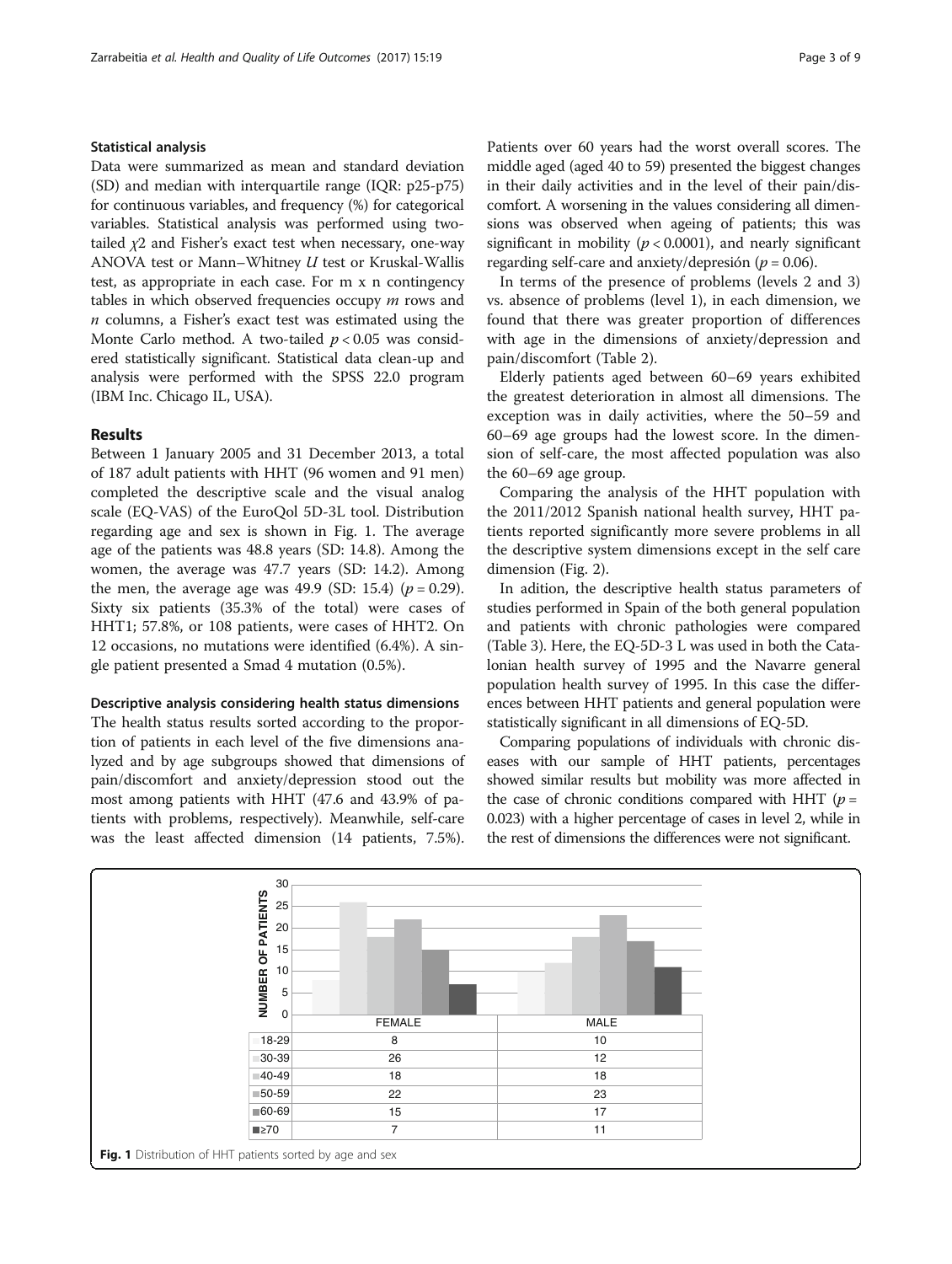# Statistical analysis

Data were summarized as mean and standard deviation (SD) and median with interquartile range (IQR: p25-p75) for continuous variables, and frequency (%) for categorical variables. Statistical analysis was performed using twotailed  $\chi$ 2 and Fisher's exact test when necessary, one-way ANOVA test or Mann–Whitney U test or Kruskal-Wallis test, as appropriate in each case. For m x n contingency tables in which observed frequencies occupy  $m$  rows and  $n$  columns, a Fisher's exact test was estimated using the Monte Carlo method. A two-tailed  $p < 0.05$  was considered statistically significant. Statistical data clean-up and analysis were performed with the SPSS 22.0 program (IBM Inc. Chicago IL, USA).

# Results

Between 1 January 2005 and 31 December 2013, a total of 187 adult patients with HHT (96 women and 91 men) completed the descriptive scale and the visual analog scale (EQ-VAS) of the EuroQol 5D-3L tool. Distribution regarding age and sex is shown in Fig. 1. The average age of the patients was 48.8 years (SD: 14.8). Among the women, the average was 47.7 years (SD: 14.2). Among the men, the average age was 49.9 (SD: 15.4) ( $p = 0.29$ ). Sixty six patients (35.3% of the total) were cases of HHT1; 57.8%, or 108 patients, were cases of HHT2. On 12 occasions, no mutations were identified (6.4%). A single patient presented a Smad 4 mutation (0.5%).

## Descriptive analysis considering health status dimensions

The health status results sorted according to the proportion of patients in each level of the five dimensions analyzed and by age subgroups showed that dimensions of pain/discomfort and anxiety/depression stood out the most among patients with HHT (47.6 and 43.9% of patients with problems, respectively). Meanwhile, self-care was the least affected dimension (14 patients, 7.5%). Patients over 60 years had the worst overall scores. The middle aged (aged 40 to 59) presented the biggest changes in their daily activities and in the level of their pain/discomfort. A worsening in the values considering all dimensions was observed when ageing of patients; this was significant in mobility ( $p < 0.0001$ ), and nearly significant regarding self-care and anxiety/depresión ( $p = 0.06$ ).

In terms of the presence of problems (levels 2 and 3) vs. absence of problems (level 1), in each dimension, we found that there was greater proportion of differences with age in the dimensions of anxiety/depression and pain/discomfort (Table [2](#page-4-0)).

Elderly patients aged between 60–69 years exhibited the greatest deterioration in almost all dimensions. The exception was in daily activities, where the 50–59 and 60–69 age groups had the lowest score. In the dimension of self-care, the most affected population was also the 60–69 age group.

Comparing the analysis of the HHT population with the 2011/2012 Spanish national health survey, HHT patients reported significantly more severe problems in all the descriptive system dimensions except in the self care dimension (Fig. [2\)](#page-4-0).

In adition, the descriptive health status parameters of studies performed in Spain of the both general population and patients with chronic pathologies were compared (Table [3](#page-5-0)). Here, the EQ-5D-3 L was used in both the Catalonian health survey of 1995 and the Navarre general population health survey of 1995. In this case the differences between HHT patients and general population were statistically significant in all dimensions of EQ-5D.

Comparing populations of individuals with chronic diseases with our sample of HHT patients, percentages showed similar results but mobility was more affected in the case of chronic conditions compared with HHT ( $p =$ 0.023) with a higher percentage of cases in level 2, while in the rest of dimensions the differences were not significant.

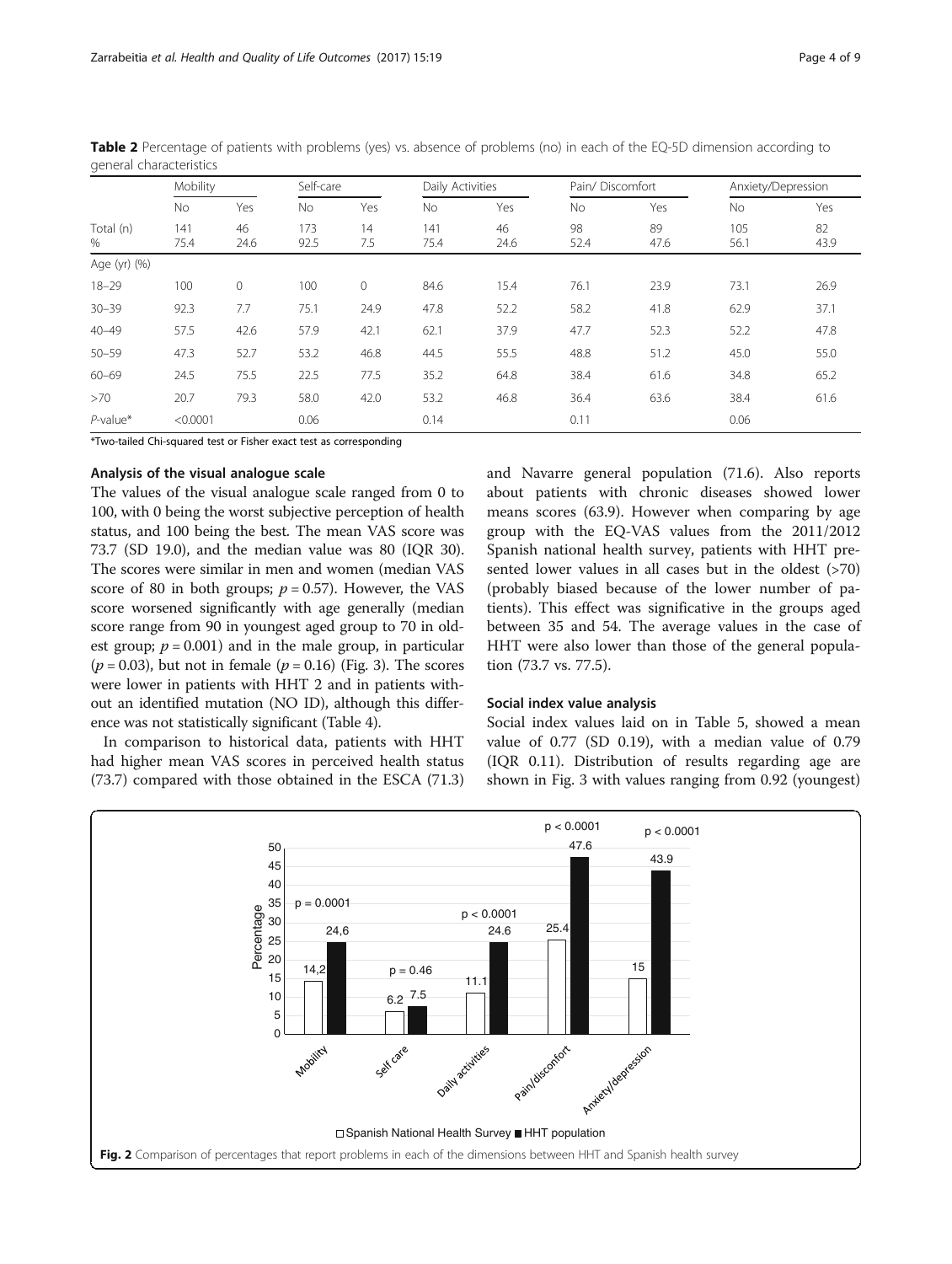|                | Mobility    |              | Self-care   |           |             | Daily Activities |            | Pain/Discomfort |             | Anxiety/Depression |  |
|----------------|-------------|--------------|-------------|-----------|-------------|------------------|------------|-----------------|-------------|--------------------|--|
|                | No.         | Yes          | No          | Yes       | No.         | Yes              | No.        | Yes             | <b>No</b>   | Yes                |  |
| Total (n)<br>% | 141<br>75.4 | 46<br>24.6   | 173<br>92.5 | 14<br>7.5 | 141<br>75.4 | 46<br>24.6       | 98<br>52.4 | 89<br>47.6      | 105<br>56.1 | 82<br>43.9         |  |
| Age (yr) (%)   |             |              |             |           |             |                  |            |                 |             |                    |  |
| $18 - 29$      | 100         | $\mathbf{0}$ | 100         | $\circ$   | 84.6        | 15.4             | 76.1       | 23.9            | 73.1        | 26.9               |  |
| $30 - 39$      | 92.3        | 7.7          | 75.1        | 24.9      | 47.8        | 52.2             | 58.2       | 41.8            | 62.9        | 37.1               |  |
| $40 - 49$      | 57.5        | 42.6         | 57.9        | 42.1      | 62.1        | 37.9             | 47.7       | 52.3            | 52.2        | 47.8               |  |
| $50 - 59$      | 47.3        | 52.7         | 53.2        | 46.8      | 44.5        | 55.5             | 48.8       | 51.2            | 45.0        | 55.0               |  |
| $60 - 69$      | 24.5        | 75.5         | 22.5        | 77.5      | 35.2        | 64.8             | 38.4       | 61.6            | 34.8        | 65.2               |  |
| >70            | 20.7        | 79.3         | 58.0        | 42.0      | 53.2        | 46.8             | 36.4       | 63.6            | 38.4        | 61.6               |  |
| $P$ -value*    | < 0.0001    |              | 0.06        |           | 0.14        |                  | 0.11       |                 | 0.06        |                    |  |

<span id="page-4-0"></span>Table 2 Percentage of patients with problems (yes) vs. absence of problems (no) in each of the EQ-5D dimension according to general characteristics

\*Two-tailed Chi-squared test or Fisher exact test as corresponding

# Analysis of the visual analogue scale

The values of the visual analogue scale ranged from 0 to 100, with 0 being the worst subjective perception of health status, and 100 being the best. The mean VAS score was 73.7 (SD 19.0), and the median value was 80 (IQR 30). The scores were similar in men and women (median VAS score of 80 in both groups;  $p = 0.57$ ). However, the VAS score worsened significantly with age generally (median score range from 90 in youngest aged group to 70 in oldest group;  $p = 0.001$ ) and in the male group, in particular  $(p = 0.03)$ , but not in female  $(p = 0.16)$  (Fig. [3](#page-5-0)). The scores were lower in patients with HHT 2 and in patients without an identified mutation (NO ID), although this difference was not statistically significant (Table [4](#page-6-0)).

In comparison to historical data, patients with HHT had higher mean VAS scores in perceived health status (73.7) compared with those obtained in the ESCA (71.3) and Navarre general population (71.6). Also reports about patients with chronic diseases showed lower means scores (63.9). However when comparing by age group with the EQ-VAS values from the 2011/2012 Spanish national health survey, patients with HHT presented lower values in all cases but in the oldest (>70) (probably biased because of the lower number of patients). This effect was significative in the groups aged between 35 and 54. The average values in the case of HHT were also lower than those of the general population (73.7 vs. 77.5).

#### Social index value analysis

Social index values laid on in Table [5](#page-6-0), showed a mean value of 0.77 (SD 0.19), with a median value of 0.79 (IQR 0.11). Distribution of results regarding age are shown in Fig. [3](#page-5-0) with values ranging from 0.92 (youngest)

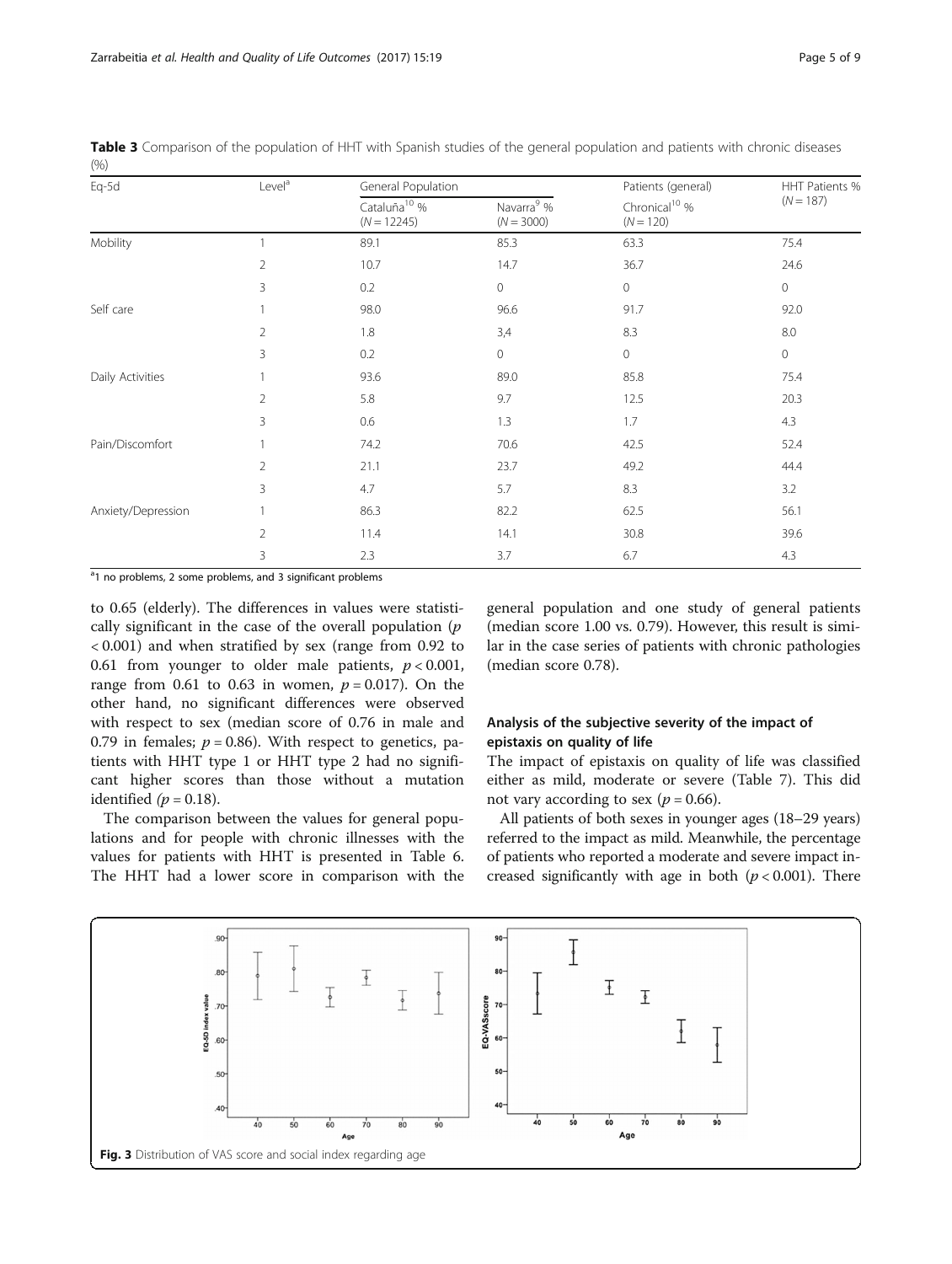| Eq-5d              | Level <sup>a</sup> | General Population                        |                                        | Patients (general)                       | HHT Patients % |  |
|--------------------|--------------------|-------------------------------------------|----------------------------------------|------------------------------------------|----------------|--|
|                    |                    | Cataluña <sup>10</sup> %<br>$(N = 12245)$ | Navarra <sup>9</sup> %<br>$(N = 3000)$ | Chronical <sup>10</sup> %<br>$(N = 120)$ | $(N = 187)$    |  |
| Mobility           |                    | 89.1                                      | 85.3                                   | 63.3                                     | 75.4           |  |
|                    | $\overline{2}$     | 10.7                                      | 14.7                                   | 36.7                                     | 24.6           |  |
|                    | 3                  | 0.2                                       | $\mathbf 0$                            | $\mathbf 0$                              | 0              |  |
| Self care          |                    | 98.0                                      | 96.6                                   | 91.7                                     | 92.0           |  |
|                    | $\overline{2}$     | 1.8                                       | 3,4                                    | 8.3                                      | $8.0\,$        |  |
|                    | 3                  | 0.2                                       | 0                                      | $\circ$                                  | 0              |  |
| Daily Activities   |                    | 93.6                                      | 89.0                                   | 85.8                                     | 75.4           |  |
|                    | $\overline{2}$     | 5.8                                       | 9.7                                    | 12.5                                     | 20.3           |  |
|                    | 3                  | 0.6                                       | 1.3                                    | 1.7                                      | 4.3            |  |
| Pain/Discomfort    |                    | 74.2                                      | 70.6                                   | 42.5                                     | 52.4           |  |
|                    | $\overline{2}$     | 21.1                                      | 23.7                                   | 49.2                                     | 44.4           |  |
|                    | 3                  | 4.7                                       | 5.7                                    | 8.3                                      | 3.2            |  |
| Anxiety/Depression |                    | 86.3                                      | 82.2                                   | 62.5                                     | 56.1           |  |
|                    | $\overline{2}$     | 11.4                                      | 14.1                                   | 30.8                                     | 39.6           |  |
|                    | 3                  | 2.3                                       | 3.7                                    | 6.7                                      | 4.3            |  |

<span id="page-5-0"></span>Table 3 Comparison of the population of HHT with Spanish studies of the general population and patients with chronic diseases  $(0/2)$ 

<sup>a</sup>1 no problems, 2 some problems, and 3 significant problems

to 0.65 (elderly). The differences in values were statistically significant in the case of the overall population  $(p)$ < 0.001) and when stratified by sex (range from 0.92 to 0.61 from younger to older male patients,  $p < 0.001$ , range from 0.61 to 0.63 in women,  $p = 0.017$ ). On the other hand, no significant differences were observed with respect to sex (median score of 0.76 in male and 0.79 in females;  $p = 0.86$ ). With respect to genetics, patients with HHT type 1 or HHT type 2 had no significant higher scores than those without a mutation identified  $(p = 0.18)$ .

The comparison between the values for general populations and for people with chronic illnesses with the values for patients with HHT is presented in Table [6](#page-6-0). The HHT had a lower score in comparison with the

general population and one study of general patients (median score 1.00 vs. 0.79). However, this result is similar in the case series of patients with chronic pathologies (median score 0.78).

# Analysis of the subjective severity of the impact of epistaxis on quality of life

The impact of epistaxis on quality of life was classified either as mild, moderate or severe (Table [7\)](#page-6-0). This did not vary according to sex ( $p = 0.66$ ).

All patients of both sexes in younger ages (18–29 years) referred to the impact as mild. Meanwhile, the percentage of patients who reported a moderate and severe impact increased significantly with age in both  $(p < 0.001)$ . There

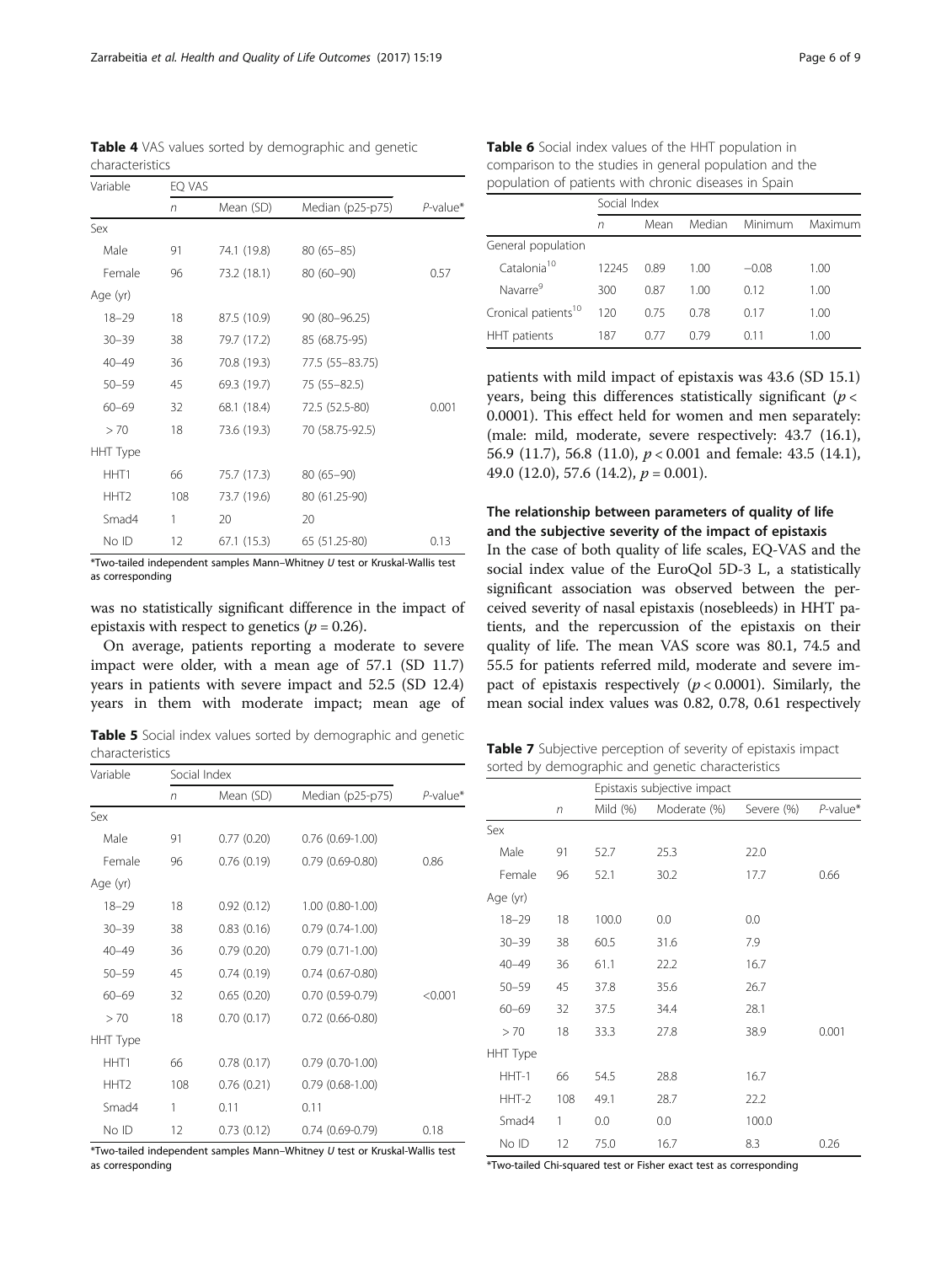No ID 12 67.1 (15.3) 65 (51.25-80) 0.13 \*Two-tailed independent samples Mann–Whitney U test or Kruskal-Wallis test as corresponding

was no statistically significant difference in the impact of epistaxis with respect to genetics ( $p = 0.26$ ).

On average, patients reporting a moderate to severe impact were older, with a mean age of 57.1 (SD 11.7) years in patients with severe impact and 52.5 (SD 12.4) years in them with moderate impact; mean age of

Table 5 Social index values sorted by demographic and genetic characteristics

| Variable         | Social Index |            |                        |             |  |  |  |
|------------------|--------------|------------|------------------------|-------------|--|--|--|
|                  | n            | Mean (SD)  | Median (p25-p75)       | $P$ -value* |  |  |  |
| Sex              |              |            |                        |             |  |  |  |
| Male             | 91           | 0.77(0.20) | $0.76$ $(0.69-1.00)$   |             |  |  |  |
| Female           | 96           | 0.76(0.19) | $0.79(0.69 - 0.80)$    | 0.86        |  |  |  |
| Age (yr)         |              |            |                        |             |  |  |  |
| $18 - 29$        | 18           | 0.92(0.12) | 1.00 (0.80-1.00)       |             |  |  |  |
| $30 - 39$        | 38           | 0.83(0.16) | $0.79(0.74-1.00)$      |             |  |  |  |
| $40 - 49$        | 36           | 0.79(0.20) | $0.79(0.71-1.00)$      |             |  |  |  |
| $50 - 59$        | 45           | 0.74(0.19) | $0.74(0.67 - 0.80)$    |             |  |  |  |
| $60 - 69$        | 32           | 0.65(0.20) | $0.70(0.59-0.79)$      | < 0.001     |  |  |  |
| > 70             | 18           | 0.70(0.17) | $0.72$ $(0.66 - 0.80)$ |             |  |  |  |
| <b>HHT Type</b>  |              |            |                        |             |  |  |  |
| HHT1             | 66           | 0.78(0.17) | $0.79(0.70-1.00)$      |             |  |  |  |
| HHT <sub>2</sub> | 108          | 0.76(0.21) | $0.79(0.68-1.00)$      |             |  |  |  |
| Smad4            | 1            | 0.11       | 0.11                   |             |  |  |  |
| No ID            | 12           | 0.73(0.12) | $0.74(0.69-0.79)$      | 0.18        |  |  |  |

\*Two-tailed independent samples Mann–Whitney U test or Kruskal-Wallis test as corresponding

Table 6 Social index values of the HHT population in comparison to the studies in general population and the population of patients with chronic diseases in Spain

|                                 | Social Index |      |        |         |         |  |
|---------------------------------|--------------|------|--------|---------|---------|--|
|                                 | n            | Mean | Median | Minimum | Maximum |  |
| General population              |              |      |        |         |         |  |
| Catalonia <sup>10</sup>         | 12245        | 0.89 | 1.00   | $-0.08$ | 1.00    |  |
| Navarre <sup>9</sup>            | 300          | 0.87 | 1.00   | 0.12    | 1.00    |  |
| Cronical patients <sup>10</sup> | 120          | 0.75 | 0.78   | 0.17    | 1.00    |  |
| HHT patients                    | 187          | N 77 | 0.79   | 011     | 1.00    |  |

patients with mild impact of epistaxis was 43.6 (SD 15.1) years, being this differences statistically significant ( $p <$ 0.0001). This effect held for women and men separately: (male: mild, moderate, severe respectively: 43.7 (16.1), 56.9 (11.7), 56.8 (11.0),  $p < 0.001$  and female: 43.5 (14.1), 49.0 (12.0), 57.6 (14.2),  $p = 0.001$ ).

# The relationship between parameters of quality of life and the subjective severity of the impact of epistaxis

In the case of both quality of life scales, EQ-VAS and the social index value of the EuroQol 5D-3 L, a statistically significant association was observed between the perceived severity of nasal epistaxis (nosebleeds) in HHT patients, and the repercussion of the epistaxis on their quality of life. The mean VAS score was 80.1, 74.5 and 55.5 for patients referred mild, moderate and severe impact of epistaxis respectively  $(p < 0.0001)$ . Similarly, the mean social index values was 0.82, 0.78, 0.61 respectively

Table 7 Subjective perception of severity of epistaxis impact sorted by demographic and genetic characteristics

|                 |     | Epistaxis subjective impact |              |            |             |  |  |  |
|-----------------|-----|-----------------------------|--------------|------------|-------------|--|--|--|
|                 | n   | Mild $(%)$                  | Moderate (%) | Severe (%) | $P$ -value* |  |  |  |
| Sex             |     |                             |              |            |             |  |  |  |
| Male            | 91  | 52.7                        | 25.3         | 22.0       |             |  |  |  |
| Female          | 96  | 52.1                        | 30.2         | 17.7       | 0.66        |  |  |  |
| Age (yr)        |     |                             |              |            |             |  |  |  |
| $18 - 29$       | 18  | 100.0                       | 0.0          | 0.0        |             |  |  |  |
| $30 - 39$       | 38  | 60.5                        | 31.6         | 7.9        |             |  |  |  |
| $40 - 49$       | 36  | 61.1                        | 22.2         | 16.7       |             |  |  |  |
| $50 - 59$       | 45  | 37.8                        | 35.6         | 26.7       |             |  |  |  |
| $60 - 69$       | 32  | 37.5                        | 34.4         | 28.1       |             |  |  |  |
| > 70            | 18  | 33.3                        | 27.8         | 38.9       | 0.001       |  |  |  |
| <b>HHT Type</b> |     |                             |              |            |             |  |  |  |
| HHT-1           | 66  | 54.5                        | 28.8         | 16.7       |             |  |  |  |
| $HHT-2$         | 108 | 49.1                        | 28.7         | 22.2       |             |  |  |  |
| Smad4           | 1   | 0.0                         | 0.0          | 100.0      |             |  |  |  |
| No ID           | 12  | 75.0                        | 16.7         | 8.3        | 0.26        |  |  |  |

\*Two-tailed Chi-squared test or Fisher exact test as corresponding

<span id="page-6-0"></span>Table 4 VAS values sorted by demographic and genetic

Female 96 73.2 (18.1) 80 (60–90) 0.57

60–69 32 68.1 (18.4) 72.5 (52.5-80) 0.001

Male 91 74.1 (19.8) 80 (65-85)

–29 18 87.5 (10.9) 90 (80–96.25) –39 38 79.7 (17.2) 85 (68.75-95) –49 36 70.8 (19.3) 77.5 (55–83.75) –59 45 69.3 (19.7) 75 (55–82.5)

> 70 18 73.6 (19.3) 70 (58.75-92.5)

HHT1 66 75.7 (17.3) 80 (65–90) HHT2 108 73.7 (19.6) 80 (61.25-90)

Smad4 1 20 20

n Mean (SD) Median (p25-p75) P-value<sup>\*</sup>

characteristics Variable EQ VAS

Sex

Age (yr)

HHT Type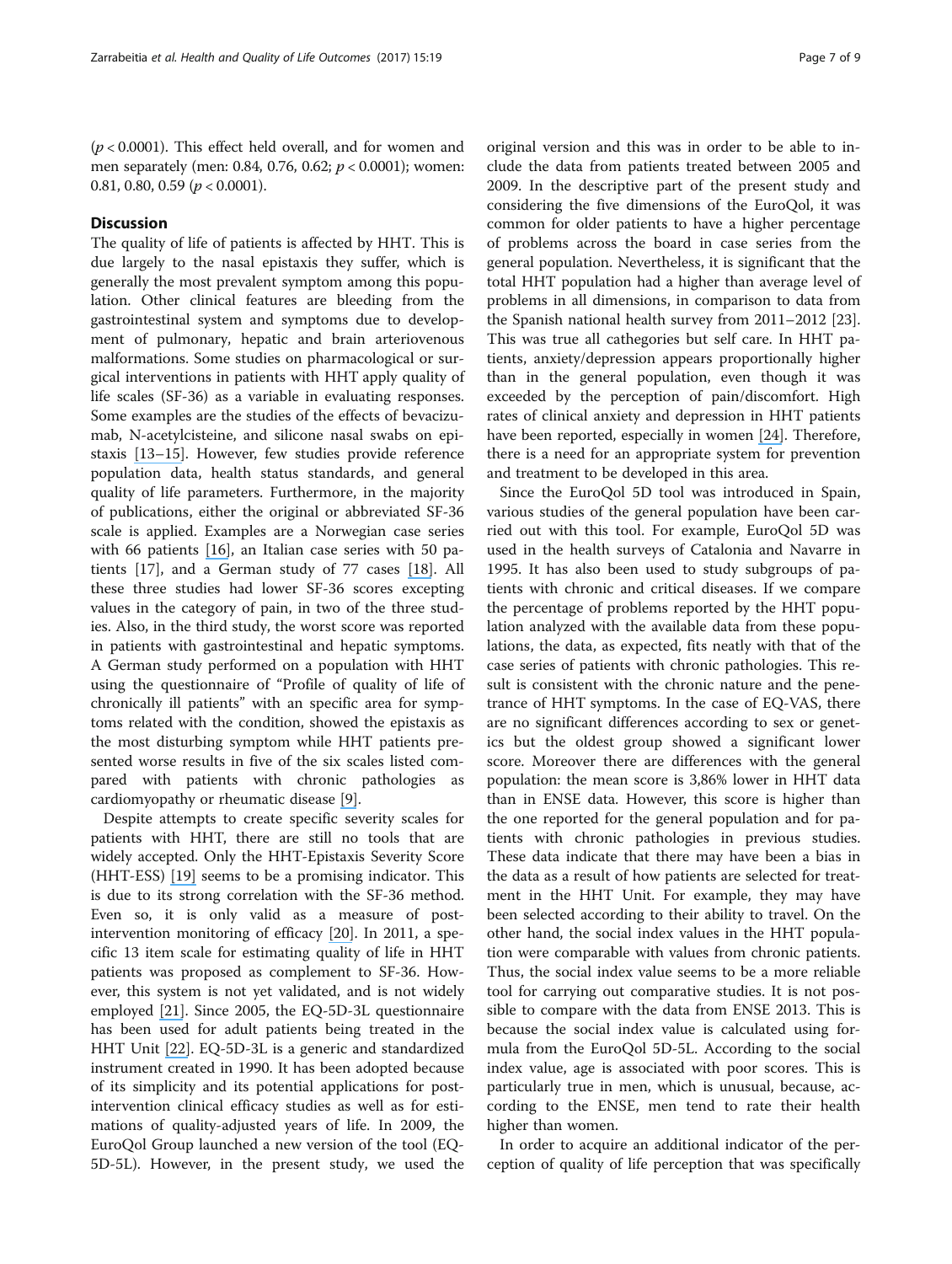$(p < 0.0001)$ . This effect held overall, and for women and men separately (men: 0.84, 0.76, 0.62; p < 0.0001); women: 0.81, 0.80, 0.59 ( $p < 0.0001$ ).

# **Discussion**

The quality of life of patients is affected by HHT. This is due largely to the nasal epistaxis they suffer, which is generally the most prevalent symptom among this population. Other clinical features are bleeding from the gastrointestinal system and symptoms due to development of pulmonary, hepatic and brain arteriovenous malformations. Some studies on pharmacological or surgical interventions in patients with HHT apply quality of life scales (SF-36) as a variable in evaluating responses. Some examples are the studies of the effects of bevacizumab, N-acetylcisteine, and silicone nasal swabs on epistaxis [\[](https://www.researchgate.net/publication/24344706_The_effect_of_N-acetylcysteine_on_epistaxis_and_quality_of_life_in_patients_with_HHT_A_pilot_study?el=1_x_8&enrichId=rgreq-642a8692dabae5003dfe4d2c815365ea-XXX&enrichSource=Y292ZXJQYWdlOzMxMjY0MDA5MjtBUzo0NTQzODc3MTA1OTkxNjhAMTQ4NTM0NTg4MDc1NA==)[13](#page-9-0)[–](https://www.researchgate.net/publication/224917718_Bevacizumab_in_hereditary_hemorrhagic_telangiectasia-associated_epistaxis_Effectiveness_of_an_injection_protocol_based_on_the_vascular_anatomy_of_the_nose?el=1_x_8&enrichId=rgreq-642a8692dabae5003dfe4d2c815365ea-XXX&enrichSource=Y292ZXJQYWdlOzMxMjY0MDA5MjtBUzo0NTQzODc3MTA1OTkxNjhAMTQ4NTM0NTg4MDc1NA==)[1](https://www.researchgate.net/publication/45707397_A_silicone_nasal_swab_for_the_treatment_of_severe_and_recalcitrant_epistaxis_in_hereditary_hemorrhagic_telangiectasia_An_alternative_to_surgical_nostril_closure?el=1_x_8&enrichId=rgreq-642a8692dabae5003dfe4d2c815365ea-XXX&enrichSource=Y292ZXJQYWdlOzMxMjY0MDA5MjtBUzo0NTQzODc3MTA1OTkxNjhAMTQ4NTM0NTg4MDc1NA==)[5](#page-9-0)[\]](https://www.researchgate.net/publication/45707397_A_silicone_nasal_swab_for_the_treatment_of_severe_and_recalcitrant_epistaxis_in_hereditary_hemorrhagic_telangiectasia_An_alternative_to_surgical_nostril_closure?el=1_x_8&enrichId=rgreq-642a8692dabae5003dfe4d2c815365ea-XXX&enrichSource=Y292ZXJQYWdlOzMxMjY0MDA5MjtBUzo0NTQzODc3MTA1OTkxNjhAMTQ4NTM0NTg4MDc1NA==). However, few studies provide reference population data, health status standards, and general quality of life parameters. Furthermore, in the majority of publications, either the original or abbreviated SF-36 scale is applied. Examples are a Norwegian case series with 66 patients [\[](https://www.researchgate.net/publication/224821603_Quality_of_life_in_patients_with_hereditary_hemorrhagic_telangiectasia_in_Norway_A_population_based_study?el=1_x_8&enrichId=rgreq-642a8692dabae5003dfe4d2c815365ea-XXX&enrichSource=Y292ZXJQYWdlOzMxMjY0MDA5MjtBUzo0NTQzODc3MTA1OTkxNjhAMTQ4NTM0NTg4MDc1NA==)[1](#page-9-0)[6\]](https://www.researchgate.net/publication/224821603_Quality_of_life_in_patients_with_hereditary_hemorrhagic_telangiectasia_in_Norway_A_population_based_study?el=1_x_8&enrichId=rgreq-642a8692dabae5003dfe4d2c815365ea-XXX&enrichSource=Y292ZXJQYWdlOzMxMjY0MDA5MjtBUzo0NTQzODc3MTA1OTkxNjhAMTQ4NTM0NTg4MDc1NA==), an Italian case series with 50 patients [\[17](#page-9-0)], and a German study of 77 cases [\[](https://www.researchgate.net/publication/8078914_Health-related_quality_of_life_in_a_rare_disease_Hereditary_hemorrhagic_telangiectasia_HHT_or_RenduOslerWeber_Disease?el=1_x_8&enrichId=rgreq-642a8692dabae5003dfe4d2c815365ea-XXX&enrichSource=Y292ZXJQYWdlOzMxMjY0MDA5MjtBUzo0NTQzODc3MTA1OTkxNjhAMTQ4NTM0NTg4MDc1NA==)[1](#page-9-0)[8\]](https://www.researchgate.net/publication/8078914_Health-related_quality_of_life_in_a_rare_disease_Hereditary_hemorrhagic_telangiectasia_HHT_or_RenduOslerWeber_Disease?el=1_x_8&enrichId=rgreq-642a8692dabae5003dfe4d2c815365ea-XXX&enrichSource=Y292ZXJQYWdlOzMxMjY0MDA5MjtBUzo0NTQzODc3MTA1OTkxNjhAMTQ4NTM0NTg4MDc1NA==). All these three studies had lower SF-36 scores excepting values in the category of pain, in two of the three studies. Also, in the third study, the worst score was reported in patients with gastrointestinal and hepatic symptoms. A German study performed on a population with HHT using the questionnaire of "Profile of quality of life of chronically ill patients" with an specific area for symptoms related with the condition, showed the epistaxis as the most disturbing symptom while HHT patients presented worse results in five of the six scales listed compared with patients with chronic pathologies as cardiomyopathy or rheumatic disease [\[](https://www.researchgate.net/publication/7239211_Recurrent_nosebleeds_in_patients_with_hereditary_hemorrhagic_telangiectasia?el=1_x_8&enrichId=rgreq-642a8692dabae5003dfe4d2c815365ea-XXX&enrichSource=Y292ZXJQYWdlOzMxMjY0MDA5MjtBUzo0NTQzODc3MTA1OTkxNjhAMTQ4NTM0NTg4MDc1NA==)[9](#page-9-0)[\]](https://www.researchgate.net/publication/7239211_Recurrent_nosebleeds_in_patients_with_hereditary_hemorrhagic_telangiectasia?el=1_x_8&enrichId=rgreq-642a8692dabae5003dfe4d2c815365ea-XXX&enrichSource=Y292ZXJQYWdlOzMxMjY0MDA5MjtBUzo0NTQzODc3MTA1OTkxNjhAMTQ4NTM0NTg4MDc1NA==).

Despite attempts to create specific severity scales for patients with HHT, there are still no tools that are widely accepted. Only the HHT-Epistaxis Severity Score (HHT-ESS) [\[](https://www.researchgate.net/publication/41090043_An_Epistaxis_Severity_Score_for_Hereditary_Hemorrhagic_Telangiectasia?el=1_x_8&enrichId=rgreq-642a8692dabae5003dfe4d2c815365ea-XXX&enrichSource=Y292ZXJQYWdlOzMxMjY0MDA5MjtBUzo0NTQzODc3MTA1OTkxNjhAMTQ4NTM0NTg4MDc1NA==)[19](#page-9-0)[\]](https://www.researchgate.net/publication/41090043_An_Epistaxis_Severity_Score_for_Hereditary_Hemorrhagic_Telangiectasia?el=1_x_8&enrichId=rgreq-642a8692dabae5003dfe4d2c815365ea-XXX&enrichSource=Y292ZXJQYWdlOzMxMjY0MDA5MjtBUzo0NTQzODc3MTA1OTkxNjhAMTQ4NTM0NTg4MDc1NA==) seems to be a promising indicator. This is due to its strong correlation with the SF-36 method. Even so, it is only valid as a measure of postintervention monitoring of efficacy [\[](https://www.researchgate.net/publication/264984000_The_effects_of_epistaxis_on_health-related_quality_of_life_in_patients_with_hereditary_hemorrhagic_telangiectasia?el=1_x_8&enrichId=rgreq-642a8692dabae5003dfe4d2c815365ea-XXX&enrichSource=Y292ZXJQYWdlOzMxMjY0MDA5MjtBUzo0NTQzODc3MTA1OTkxNjhAMTQ4NTM0NTg4MDc1NA==)[20](#page-9-0)[\]](https://www.researchgate.net/publication/264984000_The_effects_of_epistaxis_on_health-related_quality_of_life_in_patients_with_hereditary_hemorrhagic_telangiectasia?el=1_x_8&enrichId=rgreq-642a8692dabae5003dfe4d2c815365ea-XXX&enrichSource=Y292ZXJQYWdlOzMxMjY0MDA5MjtBUzo0NTQzODc3MTA1OTkxNjhAMTQ4NTM0NTg4MDc1NA==). In 2011, a specific 13 item scale for estimating quality of life in HHT patients was proposed as complement to SF-36. However, this system is not yet validated, and is not widely employed [\[](https://www.researchgate.net/publication/51481405_Altered_quality_of_life_in_Rendu-Osler_Weber_disease_related_to_recurrent_epistaxis?el=1_x_8&enrichId=rgreq-642a8692dabae5003dfe4d2c815365ea-XXX&enrichSource=Y292ZXJQYWdlOzMxMjY0MDA5MjtBUzo0NTQzODc3MTA1OTkxNjhAMTQ4NTM0NTg4MDc1NA==)[21](#page-9-0)[\]](https://www.researchgate.net/publication/51481405_Altered_quality_of_life_in_Rendu-Osler_Weber_disease_related_to_recurrent_epistaxis?el=1_x_8&enrichId=rgreq-642a8692dabae5003dfe4d2c815365ea-XXX&enrichSource=Y292ZXJQYWdlOzMxMjY0MDA5MjtBUzo0NTQzODc3MTA1OTkxNjhAMTQ4NTM0NTg4MDc1NA==). Since 2005, the EQ-5D-3L questionnaire has been used for adult patients being treated in the HHT Unit [\[](https://www.researchgate.net/publication/311533167_EuroQol_a_new_facility_for_the_measurement_of_health-related_quality_of_life?el=1_x_8&enrichId=rgreq-642a8692dabae5003dfe4d2c815365ea-XXX&enrichSource=Y292ZXJQYWdlOzMxMjY0MDA5MjtBUzo0NTQzODc3MTA1OTkxNjhAMTQ4NTM0NTg4MDc1NA==)[22](#page-9-0)[\]](https://www.researchgate.net/publication/311533167_EuroQol_a_new_facility_for_the_measurement_of_health-related_quality_of_life?el=1_x_8&enrichId=rgreq-642a8692dabae5003dfe4d2c815365ea-XXX&enrichSource=Y292ZXJQYWdlOzMxMjY0MDA5MjtBUzo0NTQzODc3MTA1OTkxNjhAMTQ4NTM0NTg4MDc1NA==). EQ-5D-3L is a generic and standardized instrument created in 1990. It has been adopted because of its simplicity and its potential applications for postintervention clinical efficacy studies as well as for estimations of quality-adjusted years of life. In 2009, the EuroQol Group launched a new version of the tool (EQ-5D-5L). However, in the present study, we used the original version and this was in order to be able to include the data from patients treated between 2005 and 2009. In the descriptive part of the present study and considering the five dimensions of the EuroQol, it was common for older patients to have a higher percentage of problems across the board in case series from the general population. Nevertheless, it is significant that the total HHT population had a higher than average level of problems in all dimensions, in comparison to data from the Spanish national health survey from 2011–2012 [\[23](#page-9-0)]. This was true all cathegories but self care. In HHT patients, anxiety/depression appears proportionally higher than in the general population, even though it was exceeded by the perception of pain/discomfort. High rates of clinical anxiety and depression in HHT patients have been reported, especially in women [\[](https://www.researchgate.net/publication/225277000_Living_with_hereditary_haemorrhagic_telangiectasia_Coping_and_psychological_distress_-_A_cross-sectional_study?el=1_x_8&enrichId=rgreq-642a8692dabae5003dfe4d2c815365ea-XXX&enrichSource=Y292ZXJQYWdlOzMxMjY0MDA5MjtBUzo0NTQzODc3MTA1OTkxNjhAMTQ4NTM0NTg4MDc1NA==)[24](#page-9-0)[\]](https://www.researchgate.net/publication/225277000_Living_with_hereditary_haemorrhagic_telangiectasia_Coping_and_psychological_distress_-_A_cross-sectional_study?el=1_x_8&enrichId=rgreq-642a8692dabae5003dfe4d2c815365ea-XXX&enrichSource=Y292ZXJQYWdlOzMxMjY0MDA5MjtBUzo0NTQzODc3MTA1OTkxNjhAMTQ4NTM0NTg4MDc1NA==). Therefore, there is a need for an appropriate system for prevention and treatment to be developed in this area.

Since the EuroQol 5D tool was introduced in Spain, various studies of the general population have been carried out with this tool. For example, EuroQol 5D was used in the health surveys of Catalonia and Navarre in 1995. It has also been used to study subgroups of patients with chronic and critical diseases. If we compare the percentage of problems reported by the HHT population analyzed with the available data from these populations, the data, as expected, fits neatly with that of the case series of patients with chronic pathologies. This result is consistent with the chronic nature and the penetrance of HHT symptoms. In the case of EQ-VAS, there are no significant differences according to sex or genetics but the oldest group showed a significant lower score. Moreover there are differences with the general population: the mean score is 3,86% lower in HHT data than in ENSE data. However, this score is higher than the one reported for the general population and for patients with chronic pathologies in previous studies. These data indicate that there may have been a bias in the data as a result of how patients are selected for treatment in the HHT Unit. For example, they may have been selected according to their ability to travel. On the other hand, the social index values in the HHT population were comparable with values from chronic patients. Thus, the social index value seems to be a more reliable tool for carrying out comparative studies. It is not possible to compare with the data from ENSE 2013. This is because the social index value is calculated using formula from the EuroQol 5D-5L. According to the social index value, age is associated with poor scores. This is particularly true in men, which is unusual, because, according to the ENSE, men tend to rate their health higher than women.

In order to acquire an additional indicator of the perception of quality of life perception that was specifically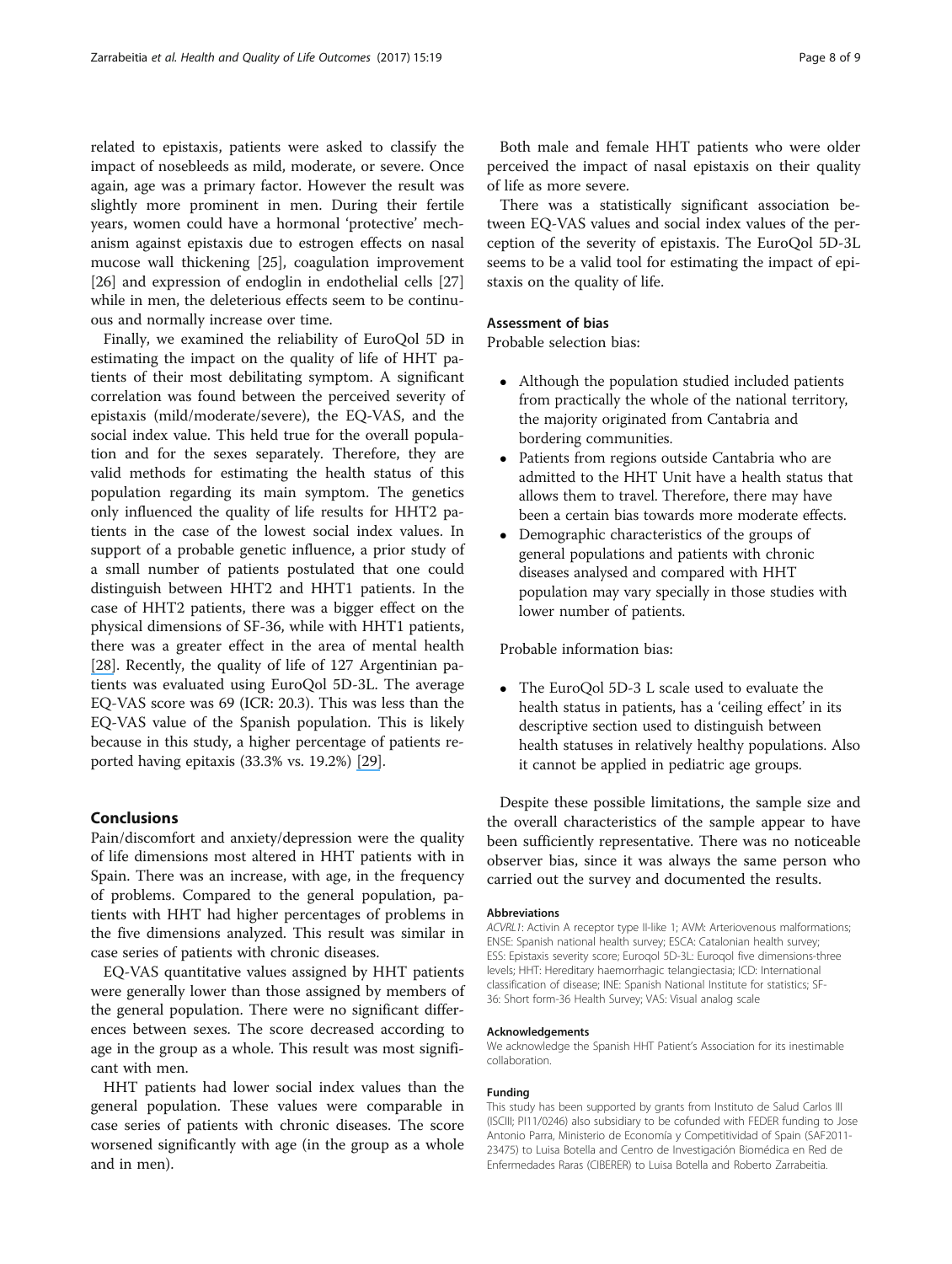related to epistaxis, patients were asked to classify the impact of nosebleeds as mild, moderate, or severe. Once again, age was a primary factor. However the result was slightly more prominent in men. During their fertile years, women could have a hormonal 'protective' mechanism against epistaxis due to estrogen effects on nasal mucose wall thickening [\[25\]](#page-9-0), coagulation improvement [[26\]](#page-9-0) and expression of endoglin in endothelial cells [[27](#page-9-0)] while in men, the deleterious effects seem to be continuous and normally increase over time.

Finally, we examined the reliability of EuroQol 5D in estimating the impact on the quality of life of HHT patients of their most debilitating symptom. A significant correlation was found between the perceived severity of epistaxis (mild/moderate/severe), the EQ-VAS, and the social index value. This held true for the overall population and for the sexes separately. Therefore, they are valid methods for estimating the health status of this population regarding its main symptom. The genetics only influenced the quality of life results for HHT2 patients in the case of the lowest social index values. In support of a probable genetic influence, a prior study of a small number of patients postulated that one could distinguish between HHT2 and HHT1 patients. In the case of HHT2 patients, there was a bigger effect on the physical dimensions of SF-36, while with HHT1 patients, there was a greater effect in the area of mental health [\[](https://www.researchgate.net/publication/23319262_Impact_of_genotype_and_mutation_type_on_health-related_quality_of_life_in_patients_with_hereditary_hemorrhagic_telangiectasia?el=1_x_8&enrichId=rgreq-642a8692dabae5003dfe4d2c815365ea-XXX&enrichSource=Y292ZXJQYWdlOzMxMjY0MDA5MjtBUzo0NTQzODc3MTA1OTkxNjhAMTQ4NTM0NTg4MDc1NA==)[28](#page-9-0)[\]](https://www.researchgate.net/publication/23319262_Impact_of_genotype_and_mutation_type_on_health-related_quality_of_life_in_patients_with_hereditary_hemorrhagic_telangiectasia?el=1_x_8&enrichId=rgreq-642a8692dabae5003dfe4d2c815365ea-XXX&enrichSource=Y292ZXJQYWdlOzMxMjY0MDA5MjtBUzo0NTQzODc3MTA1OTkxNjhAMTQ4NTM0NTg4MDc1NA==). Recently, the quality of life of 127 Argentinian patients was evaluated using EuroQol 5D-3L. The average EQ-VAS score was 69 (ICR: 20.3). This was less than the EQ-VAS value of the Spanish population. This is likely because in this study, a higher percentage of patients reported having epitaxis (33.3% vs. 19.2%) [\[](https://www.researchgate.net/publication/295579821_Quality_of_life_in_patients_with_hereditary_hemorrhagic_telangiectasia_Rendu-Osler-Weber_syndrome?el=1_x_8&enrichId=rgreq-642a8692dabae5003dfe4d2c815365ea-XXX&enrichSource=Y292ZXJQYWdlOzMxMjY0MDA5MjtBUzo0NTQzODc3MTA1OTkxNjhAMTQ4NTM0NTg4MDc1NA==)[29](#page-9-0)[\]](https://www.researchgate.net/publication/295579821_Quality_of_life_in_patients_with_hereditary_hemorrhagic_telangiectasia_Rendu-Osler-Weber_syndrome?el=1_x_8&enrichId=rgreq-642a8692dabae5003dfe4d2c815365ea-XXX&enrichSource=Y292ZXJQYWdlOzMxMjY0MDA5MjtBUzo0NTQzODc3MTA1OTkxNjhAMTQ4NTM0NTg4MDc1NA==).

# Conclusions

Pain/discomfort and anxiety/depression were the quality of life dimensions most altered in HHT patients with in Spain. There was an increase, with age, in the frequency of problems. Compared to the general population, patients with HHT had higher percentages of problems in the five dimensions analyzed. This result was similar in case series of patients with chronic diseases.

EQ-VAS quantitative values assigned by HHT patients were generally lower than those assigned by members of the general population. There were no significant differences between sexes. The score decreased according to age in the group as a whole. This result was most significant with men.

HHT patients had lower social index values than the general population. These values were comparable in case series of patients with chronic diseases. The score worsened significantly with age (in the group as a whole and in men).

Both male and female HHT patients who were older perceived the impact of nasal epistaxis on their quality of life as more severe.

There was a statistically significant association between EQ-VAS values and social index values of the perception of the severity of epistaxis. The EuroQol 5D-3L seems to be a valid tool for estimating the impact of epistaxis on the quality of life.

# Assessment of bias

Probable selection bias:

- Although the population studied included patients from practically the whole of the national territory, the majority originated from Cantabria and bordering communities.
- Patients from regions outside Cantabria who are admitted to the HHT Unit have a health status that allows them to travel. Therefore, there may have been a certain bias towards more moderate effects.
- Demographic characteristics of the groups of general populations and patients with chronic diseases analysed and compared with HHT population may vary specially in those studies with lower number of patients.

Probable information bias:

• The EuroQol 5D-3 L scale used to evaluate the health status in patients, has a 'ceiling effect' in its descriptive section used to distinguish between health statuses in relatively healthy populations. Also it cannot be applied in pediatric age groups.

Despite these possible limitations, the sample size and the overall characteristics of the sample appear to have been sufficiently representative. There was no noticeable observer bias, since it was always the same person who carried out the survey and documented the results.

#### **Abbreviations**

ACVRL1: Activin A receptor type II-like 1; AVM: Arteriovenous malformations; ENSE: Spanish national health survey; ESCA: Catalonian health survey; ESS: Epistaxis severity score; Euroqol 5D-3L: Euroqol five dimensions-three levels; HHT: Hereditary haemorrhagic telangiectasia; ICD: International classification of disease; INE: Spanish National Institute for statistics; SF-36: Short form-36 Health Survey; VAS: Visual analog scale

#### Acknowledgements

We acknowledge the Spanish HHT Patient's Association for its inestimable collaboration.

#### Funding

This study has been supported by grants from Instituto de Salud Carlos III (ISCIII; PI11/0246) also subsidiary to be cofunded with FEDER funding to Jose Antonio Parra, Ministerio de Economía y Competitividad of Spain (SAF2011- 23475) to Luisa Botella and Centro de Investigación Biomédica en Red de Enfermedades Raras (CIBERER) to Luisa Botella and Roberto Zarrabeitia.